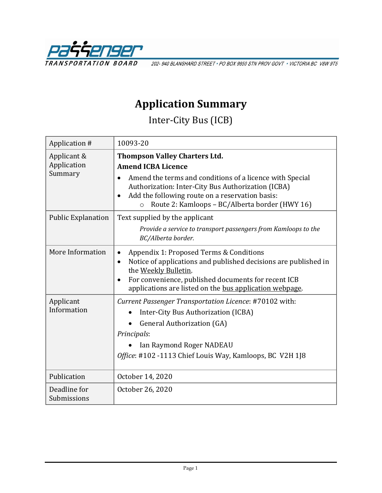

202-940 BLANSHARD STREET · PO BOX 9850 STN PROV GOVT · VICTORIA BC V8W 9T5

## **Application Summary**

Inter-City Bus (ICB)

| Application #                         | 10093-20                                                                                                                                                                                                                                                                                            |  |  |
|---------------------------------------|-----------------------------------------------------------------------------------------------------------------------------------------------------------------------------------------------------------------------------------------------------------------------------------------------------|--|--|
| Applicant &<br>Application<br>Summary | <b>Thompson Valley Charters Ltd.</b><br><b>Amend ICBA Licence</b><br>Amend the terms and conditions of a licence with Special<br>Authorization: Inter-City Bus Authorization (ICBA)<br>Add the following route on a reservation basis:<br>Route 2: Kamloops - BC/Alberta border (HWY 16)<br>$\circ$ |  |  |
| <b>Public Explanation</b>             | Text supplied by the applicant<br>Provide a service to transport passengers from Kamloops to the<br>BC/Alberta border.                                                                                                                                                                              |  |  |
| More Information                      | Appendix 1: Proposed Terms & Conditions<br>Notice of applications and published decisions are published in<br>$\bullet$<br>the Weekly Bulletin.<br>For convenience, published documents for recent ICB<br>$\bullet$<br>applications are listed on the bus application webpage.                      |  |  |
| Applicant<br>Information              | Current Passenger Transportation Licence: #70102 with:<br>Inter-City Bus Authorization (ICBA)<br><b>General Authorization (GA)</b><br>Principals:<br>Ian Raymond Roger NADEAU<br>Office: #102 -1113 Chief Louis Way, Kamloops, BC V2H 1J8                                                           |  |  |
| Publication                           | October 14, 2020                                                                                                                                                                                                                                                                                    |  |  |
| Deadline for<br>Submissions           | October 26, 2020                                                                                                                                                                                                                                                                                    |  |  |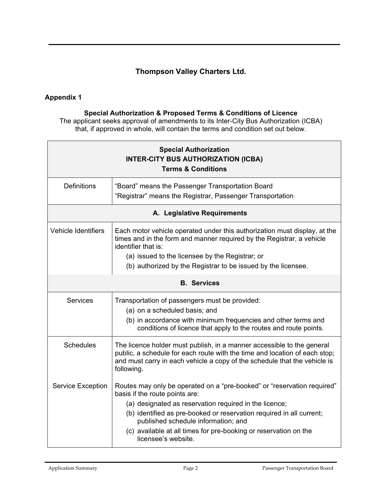## **Thompson Valley Charters Ltd.**

## **Appendix 1**

## **Special Authorization & Proposed Terms & Conditions of Licence**

The applicant seeks approval of amendments to its Inter-City Bus Authorization (ICBA) that, if approved in whole, will contain the terms and condition set out below.

| <b>Special Authorization</b><br><b>INTER-CITY BUS AUTHORIZATION (ICBA)</b><br><b>Terms &amp; Conditions</b> |                                                                                                                                                                                                                                                                                                                                                                               |  |  |  |
|-------------------------------------------------------------------------------------------------------------|-------------------------------------------------------------------------------------------------------------------------------------------------------------------------------------------------------------------------------------------------------------------------------------------------------------------------------------------------------------------------------|--|--|--|
| <b>Definitions</b>                                                                                          | "Board" means the Passenger Transportation Board<br>"Registrar" means the Registrar, Passenger Transportation                                                                                                                                                                                                                                                                 |  |  |  |
| A. Legislative Requirements                                                                                 |                                                                                                                                                                                                                                                                                                                                                                               |  |  |  |
| <b>Vehicle Identifiers</b>                                                                                  | Each motor vehicle operated under this authorization must display, at the<br>times and in the form and manner required by the Registrar, a vehicle<br>identifier that is:<br>(a) issued to the licensee by the Registrar; or<br>(b) authorized by the Registrar to be issued by the licensee.                                                                                 |  |  |  |
| <b>B.</b> Services                                                                                          |                                                                                                                                                                                                                                                                                                                                                                               |  |  |  |
| <b>Services</b>                                                                                             | Transportation of passengers must be provided:<br>(a) on a scheduled basis; and<br>(b) in accordance with minimum frequencies and other terms and<br>conditions of licence that apply to the routes and route points.                                                                                                                                                         |  |  |  |
| <b>Schedules</b>                                                                                            | The licence holder must publish, in a manner accessible to the general<br>public, a schedule for each route with the time and location of each stop;<br>and must carry in each vehicle a copy of the schedule that the vehicle is<br>following.                                                                                                                               |  |  |  |
| <b>Service Exception</b>                                                                                    | Routes may only be operated on a "pre-booked" or "reservation required"<br>basis if the route points are:<br>(a) designated as reservation required in the licence;<br>(b) identified as pre-booked or reservation required in all current;<br>published schedule information; and<br>(c) available at all times for pre-booking or reservation on the<br>licensee's website. |  |  |  |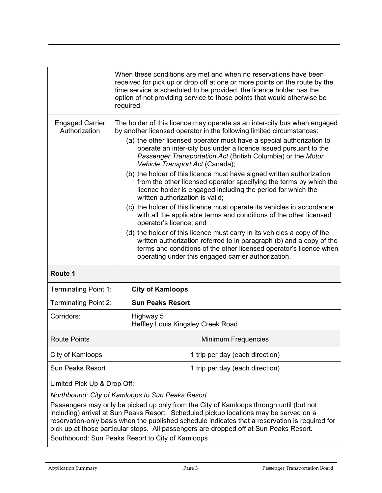|                                         | When these conditions are met and when no reservations have been<br>received for pick up or drop off at one or more points on the route by the<br>time service is scheduled to be provided, the licence holder has the<br>option of not providing service to those points that would otherwise be<br>required.                                                                                                                                                           |  |  |
|-----------------------------------------|--------------------------------------------------------------------------------------------------------------------------------------------------------------------------------------------------------------------------------------------------------------------------------------------------------------------------------------------------------------------------------------------------------------------------------------------------------------------------|--|--|
| <b>Engaged Carrier</b><br>Authorization | The holder of this licence may operate as an inter-city bus when engaged<br>by another licensed operator in the following limited circumstances:<br>(a) the other licensed operator must have a special authorization to<br>operate an inter-city bus under a licence issued pursuant to the<br>Passenger Transportation Act (British Columbia) or the Motor<br>Vehicle Transport Act (Canada);<br>(b) the holder of this licence must have signed written authorization |  |  |
|                                         | from the other licensed operator specifying the terms by which the<br>licence holder is engaged including the period for which the<br>written authorization is valid;                                                                                                                                                                                                                                                                                                    |  |  |
|                                         | (c) the holder of this licence must operate its vehicles in accordance<br>with all the applicable terms and conditions of the other licensed<br>operator's licence; and                                                                                                                                                                                                                                                                                                  |  |  |
|                                         | (d) the holder of this licence must carry in its vehicles a copy of the<br>written authorization referred to in paragraph (b) and a copy of the<br>terms and conditions of the other licensed operator's licence when<br>operating under this engaged carrier authorization.                                                                                                                                                                                             |  |  |
| Route 1                                 |                                                                                                                                                                                                                                                                                                                                                                                                                                                                          |  |  |
| <b>Terminating Point 1:</b>             | <b>City of Kamloops</b>                                                                                                                                                                                                                                                                                                                                                                                                                                                  |  |  |
| <b>Terminating Point 2:</b>             | <b>Sun Peaks Resort</b>                                                                                                                                                                                                                                                                                                                                                                                                                                                  |  |  |
| Corridors:                              | Highway 5<br>Heffley Louis Kingsley Creek Road                                                                                                                                                                                                                                                                                                                                                                                                                           |  |  |
| <b>Route Points</b>                     | Minimum Frequencies                                                                                                                                                                                                                                                                                                                                                                                                                                                      |  |  |
| City of Kamloops                        | 1 trip per day (each direction)                                                                                                                                                                                                                                                                                                                                                                                                                                          |  |  |
| <b>Sun Peaks Resort</b>                 | 1 trip per day (each direction)                                                                                                                                                                                                                                                                                                                                                                                                                                          |  |  |
|                                         |                                                                                                                                                                                                                                                                                                                                                                                                                                                                          |  |  |

Limited Pick Up & Drop Off:

*Northbound: City of Kamloops to Sun Peaks Resort*

Passengers may only be picked up only from the City of Kamloops through until (but not including) arrival at Sun Peaks Resort. Scheduled pickup locations may be served on a reservation-only basis when the published schedule indicates that a reservation is required for pick up at those particular stops. All passengers are dropped off at Sun Peaks Resort. Southbound: Sun Peaks Resort to City of Kamloops